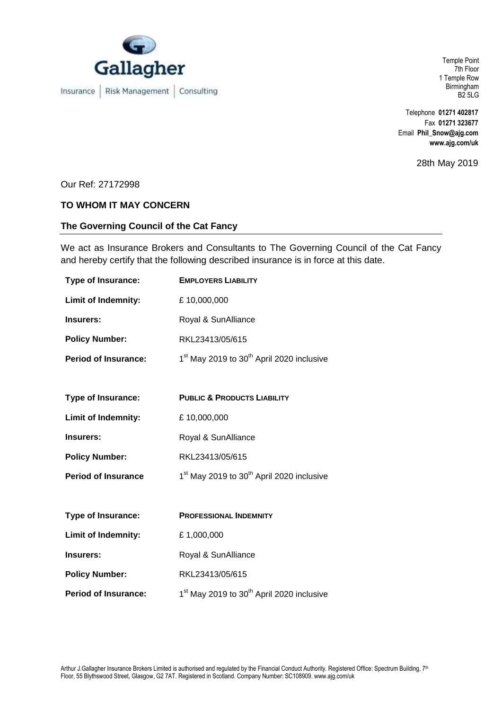

Insurance | Risk Management | Consulting

Temple Point 7th Floor 1 Temple Row Birmingham B2 5LG

Telephone **01271 402817** Fax **01271 323677** Email **Phil\_Snow@ajg.com www.ajg.com/uk**

28th May 2019

Our Ref: 27172998

## **TO WHOM IT MAY CONCERN**

## **The Governing Council of the Cat Fancy**

We act as Insurance Brokers and Consultants to The Governing Council of the Cat Fancy and hereby certify that the following described insurance is in force at this date.

| <b>Type of Insurance:</b>   | <b>EMPLOYERS LIABILITY</b>                                        |
|-----------------------------|-------------------------------------------------------------------|
| Limit of Indemnity:         | £10,000,000                                                       |
| Insurers:                   | Royal & SunAlliance                                               |
| <b>Policy Number:</b>       | RKL23413/05/615                                                   |
| <b>Period of Insurance:</b> | 1 <sup>st</sup> May 2019 to 30 <sup>th</sup> April 2020 inclusive |
|                             |                                                                   |
| Type of Insurance:          | <b>PUBLIC &amp; PRODUCTS LIABILITY</b>                            |
| <b>Limit of Indemnity:</b>  | £10,000,000                                                       |
| Insurers:                   | Royal & SunAlliance                                               |
| <b>Policy Number:</b>       | RKL23413/05/615                                                   |
| <b>Period of Insurance</b>  | 1 <sup>st</sup> May 2019 to 30 <sup>th</sup> April 2020 inclusive |
|                             |                                                                   |
| <b>Type of Insurance:</b>   | <b>PROFESSIONAL INDEMNITY</b>                                     |
| Limit of Indemnity:         | £1,000,000                                                        |
| Insurers:                   | Royal & SunAlliance                                               |
| <b>Policy Number:</b>       | RKL23413/05/615                                                   |
| <b>Period of Insurance:</b> | 1 <sup>st</sup> May 2019 to 30 <sup>th</sup> April 2020 inclusive |